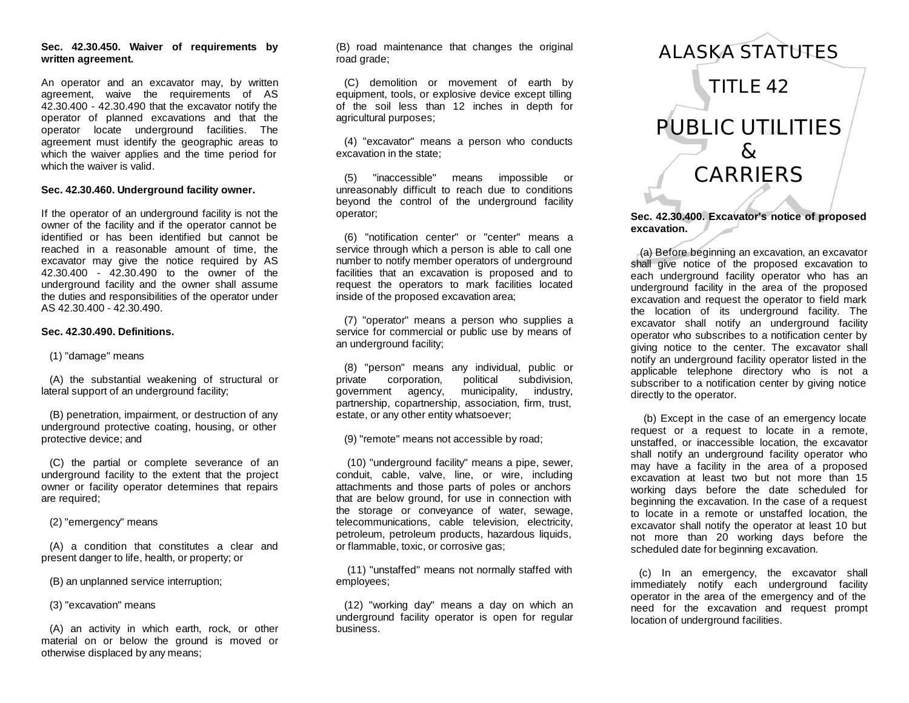# **Sec. 42.30.450. Waiver of requirements by written agreement.**

An operator and an excavator may, by written agreement, waive the requirements of AS 42.30.400 - 42.30.490 that the excavator notify the operator of planned excavations and that the operator locate underground facilities. The agreement must identify the geographic areas to which the waiver applies and the time period for which the waiver is valid.

## **Sec. 42.30.460. Underground facility owner.**

If the operator of an underground facility is not the owner of the facility and if the operator cannot be identified or has been identified but cannot be reached in a reasonable amount of time, the excavator may give the notice required by AS 42.30.400 - 42.30.490 to the owner of the underground facility and the owner shall assume the duties and responsibilities of the operator under AS 42.30.400 - 42.30.490.

# **Sec. 42.30.490. Definitions.**

(1) "damage" means

 (A) the substantial weakening of structural or lateral support of an underground facility;

 (B) penetration, impairment, or destruction of any underground protective coating, housing, or other protective device; and

 (C) the partial or complete severance of an underground facility to the extent that the project owner or facility operator determines that repairs are required;

(2) "emergency" means

 (A) a condition that constitutes a clear and present danger to life, health, or property; or

(B) an unplanned service interruption;

(3) "excavation" means

 (A) an activity in which earth, rock, or other material on or below the ground is moved or otherwise displaced by any means;

(B) road maintenance that changes the original road grade;

 (C) demolition or movement of earth by equipment, tools, or explosive device except tilling of the soil less than 12 inches in depth for agricultural purposes;

 (4) "excavator" means a person who conducts excavation in the state;

 (5) "inaccessible" means impossible or unreasonably difficult to reach due to conditions beyond the control of the underground facility operator;

 (6) "notification center" or "center" means a service through which a person is able to call one number to notify member operators of underground facilities that an excavation is proposed and to request the operators to mark facilities located inside of the proposed excavation area;

 (7) "operator" means a person who supplies a service for commercial or public use by means of an underground facility;

 (8) "person" means any individual, public or private corporation, political subdivision, government agency, municipality, industry, partnership, copartnership, association, firm, trust, estate, or any other entity whatsoever;

(9) "remote" means not accessible by road;

 (10) "underground facility" means a pipe, sewer, conduit, cable, valve, line, or wire, including attachments and those parts of poles or anchors that are below ground, for use in connection with the storage or conveyance of water, sewage, telecommunications, cable television, electricity, petroleum, petroleum products, hazardous liquids, or flammable, toxic, or corrosive gas;

 (11) "unstaffed" means not normally staffed with employees;

 (12) "working day" means a day on which an underground facility operator is open for regular business.

# *ALASKA STATUTES TITLE 42 PUBLIC UTILITIES & CARRIERS*

**Sec. 42.30.400. Excavator's notice of proposed excavation.**

 (a) Before beginning an excavation, an excavator shall give notice of the proposed excavation to each underground facility operator who has an underground facility in the area of the proposed excavation and request the operator to field mark the location of its underground facility. The excavator shall notify an underground facility operator who subscribes to a notification center by giving notice to the center. The excavator shall notify an underground facility operator listed in the applicable telephone directory who is not a subscriber to a notification center by giving notice directly to the operator.

 (b) Except in the case of an emergency locate request or a request to locate in a remote, unstaffed, or inaccessible location, the excavator shall notify an underground facility operator who may have a facility in the area of a proposed excavation at least two but not more than 15 working days before the date scheduled for beginning the excavation. In the case of a request to locate in a remote or unstaffed location, the excavator shall notify the operator at least 10 but not more than 20 working days before the scheduled date for beginning excavation.

 (c) In an emergency, the excavator shall immediately notify each underground facility operator in the area of the emergency and of the need for the excavation and request prompt location of underground facilities.